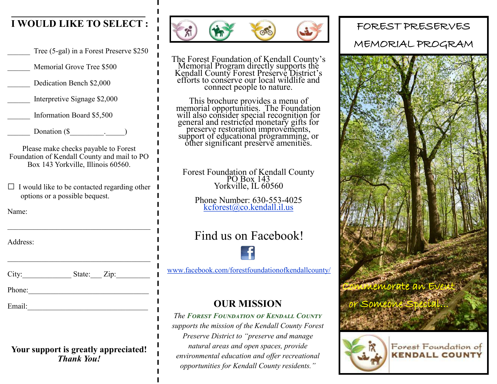### **I WOULD LIKE TO SELECT :**

Tree (5-gal) in a Forest Preserve \$250

Memorial Grove Tree \$500

Dedication Bench \$2,000

\_\_\_\_\_\_ Interpretive Signage \$2,000

\_\_\_\_\_\_ Information Board \$5,500

Donation  $(\$   $\qquad \qquad$   $\qquad \qquad$ 

Please make checks payable to Forest Foundation of Kendall County and mail to PO Box 143 Yorkville, Illinois 60560.

 $\Box$  I would like to be contacted regarding other  $\Box$ options or a possible bequest.

Name:

Address:

City: State: Zip:

Phone:\_\_\_\_\_\_\_\_\_\_\_\_\_\_\_\_\_\_\_\_\_\_\_\_\_\_\_\_\_\_\_\_

Email:\_\_\_\_\_\_\_\_\_\_\_\_\_\_\_\_\_\_\_\_\_\_\_\_\_\_\_\_\_\_\_\_

#### **Your support is greatly appreciated!** *Thank You!*



The Forest Foundation of Kendall County's Memorial Program directly supports the Kendall County Forest Preserve District's efforts to conserve our local wildlife and connect people to nature.

This brochure provides a menu of memorial opportunities. The Foundation will also consider special recognition for general and restricted monetary gifts for preserve restoration improvements, support of educational programming, or other significant preserve amenities.

Forest Foundation of Kendall County PO Box 143 Yorkville, IL 60560

Phone Number: 630-553-4025 [kcforest@co.kendall.il.us](mailto:kcforest@co.kendall.il.us)

# Find us on Facebook!



[www.facebook.com/forestfoundationofkendallcounty/](http://www.facebook.com/forestfoundationofkendallcounty/)

## **OUR MISSION**

*The Forest Foundation of Kendall County supports the mission of the Kendall County Forest Preserve District to "preserve and manage natural areas and open spaces, provide environmental education and offer recreational opportunities for Kendall County residents."*

FOREST PRESERVES MEMORIAL PROGRAM